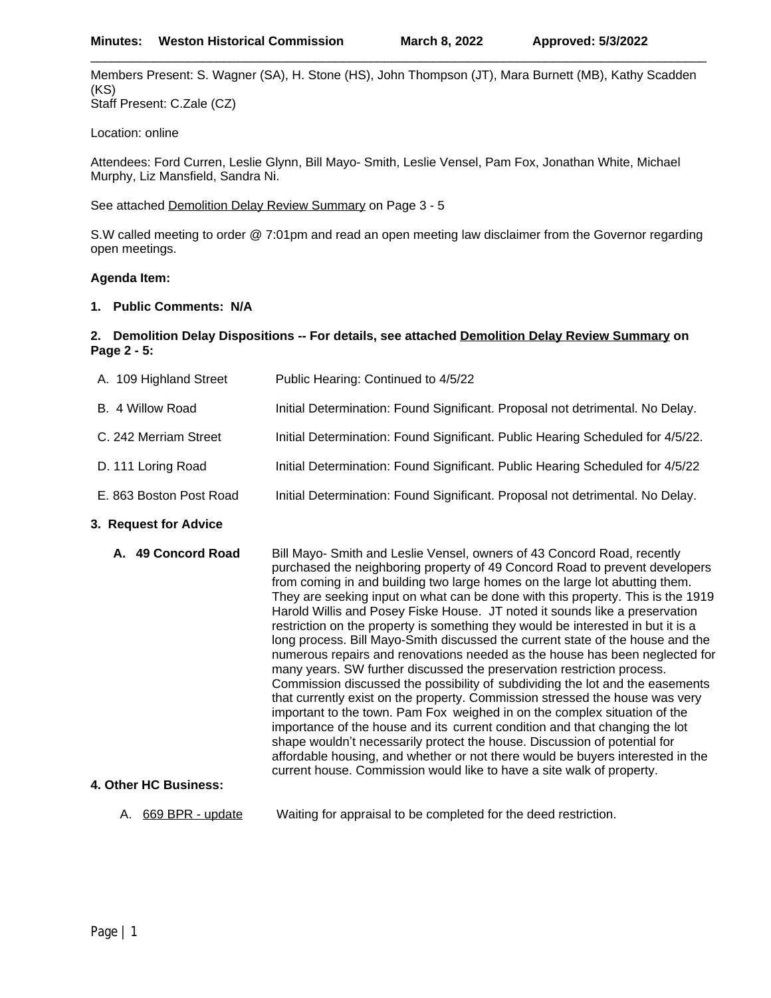Members Present: S. Wagner (SA), H. Stone (HS), John Thompson (JT), Mara Burnett (MB), Kathy Scadden (KS) Staff Present: C.Zale (CZ)

\_\_\_\_\_\_\_\_\_\_\_\_\_\_\_\_\_\_\_\_\_\_\_\_\_\_\_\_\_\_\_\_\_\_\_\_\_\_\_\_\_\_\_\_\_\_\_\_\_\_\_\_\_\_\_\_\_\_\_\_\_\_\_\_\_\_\_\_\_\_\_\_\_\_\_\_\_\_\_\_\_\_\_\_\_\_\_\_

Location: online

Attendees: Ford Curren, Leslie Glynn, Bill Mayo- Smith, Leslie Vensel, Pam Fox, Jonathan White, Michael Murphy, Liz Mansfield, Sandra Ni.

See attached Demolition Delay Review Summary on Page 3 - 5

S.W called meeting to order @ 7:01pm and read an open meeting law disclaimer from the Governor regarding open meetings.

# **Agenda Item:**

# **1. Public Comments: N/A**

## **2. Demolition Delay Dispositions -- For details, see attached Demolition Delay Review Summary on Page 2 - 5:**

| A. 109 Highland Street  | Public Hearing: Continued to 4/5/22                                            |
|-------------------------|--------------------------------------------------------------------------------|
| B. 4 Willow Road        | Initial Determination: Found Significant. Proposal not detrimental. No Delay.  |
| C. 242 Merriam Street   | Initial Determination: Found Significant. Public Hearing Scheduled for 4/5/22. |
| D. 111 Loring Road      | Initial Determination: Found Significant. Public Hearing Scheduled for 4/5/22  |
| E. 863 Boston Post Road | Initial Determination: Found Significant. Proposal not detrimental. No Delay.  |

# **3. Request for Advice**

**A. 49 Concord Road** Bill Mayo- Smith and Leslie Vensel, owners of 43 Concord Road, recently purchased the neighboring property of 49 Concord Road to prevent developers from coming in and building two large homes on the large lot abutting them. They are seeking input on what can be done with this property. This is the 1919 Harold Willis and Posey Fiske House. JT noted it sounds like a preservation restriction on the property is something they would be interested in but it is a long process. Bill Mayo-Smith discussed the current state of the house and the numerous repairs and renovations needed as the house has been neglected for many years. SW further discussed the preservation restriction process. Commission discussed the possibility of subdividing the lot and the easements that currently exist on the property. Commission stressed the house was very important to the town. Pam Fox weighed in on the complex situation of the importance of the house and its current condition and that changing the lot shape wouldn't necessarily protect the house. Discussion of potential for affordable housing, and whether or not there would be buyers interested in the current house. Commission would like to have a site walk of property. **4. Other HC Business:**

A. 669 BPR - update Waiting for appraisal to be completed for the deed restriction.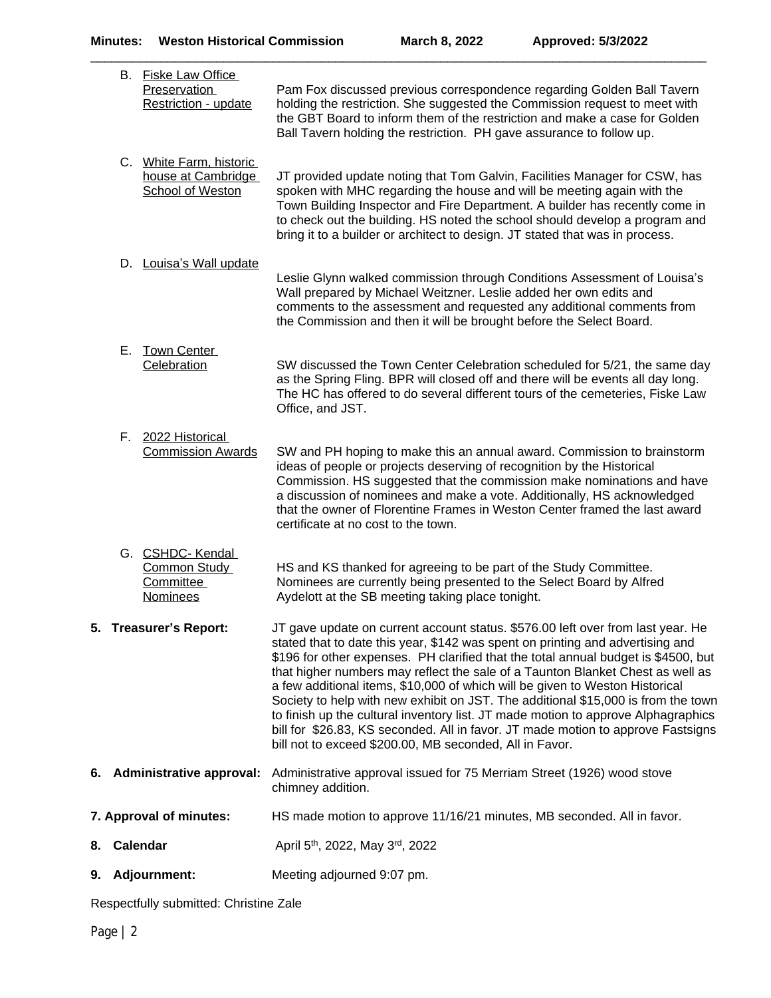\_\_\_\_\_\_\_\_\_\_\_\_\_\_\_\_\_\_\_\_\_\_\_\_\_\_\_\_\_\_\_\_\_\_\_\_\_\_\_\_\_\_\_\_\_\_\_\_\_\_\_\_\_\_\_\_\_\_\_\_\_\_\_\_\_\_\_\_\_\_\_\_\_\_\_\_\_\_\_\_\_\_\_\_\_\_\_\_

|    |                        | B. Fiske Law Office<br><b>Preservation</b><br><b>Restriction - update</b> | Pam Fox discussed previous correspondence regarding Golden Ball Tavern<br>holding the restriction. She suggested the Commission request to meet with<br>the GBT Board to inform them of the restriction and make a case for Golden<br>Ball Tavern holding the restriction. PH gave assurance to follow up.                                                                                                                                                                                                                                                                                                                                                                                                                                         |
|----|------------------------|---------------------------------------------------------------------------|----------------------------------------------------------------------------------------------------------------------------------------------------------------------------------------------------------------------------------------------------------------------------------------------------------------------------------------------------------------------------------------------------------------------------------------------------------------------------------------------------------------------------------------------------------------------------------------------------------------------------------------------------------------------------------------------------------------------------------------------------|
|    |                        | C. White Farm, historic<br>house at Cambridge<br>School of Weston         | JT provided update noting that Tom Galvin, Facilities Manager for CSW, has<br>spoken with MHC regarding the house and will be meeting again with the<br>Town Building Inspector and Fire Department. A builder has recently come in<br>to check out the building. HS noted the school should develop a program and<br>bring it to a builder or architect to design. JT stated that was in process.                                                                                                                                                                                                                                                                                                                                                 |
|    |                        | D. Louisa's Wall update                                                   | Leslie Glynn walked commission through Conditions Assessment of Louisa's<br>Wall prepared by Michael Weitzner. Leslie added her own edits and<br>comments to the assessment and requested any additional comments from<br>the Commission and then it will be brought before the Select Board.                                                                                                                                                                                                                                                                                                                                                                                                                                                      |
|    |                        | E. Town Center<br>Celebration                                             | SW discussed the Town Center Celebration scheduled for 5/21, the same day<br>as the Spring Fling. BPR will closed off and there will be events all day long.<br>The HC has offered to do several different tours of the cemeteries, Fiske Law<br>Office, and JST.                                                                                                                                                                                                                                                                                                                                                                                                                                                                                  |
|    |                        | F. 2022 Historical<br><b>Commission Awards</b>                            | SW and PH hoping to make this an annual award. Commission to brainstorm<br>ideas of people or projects deserving of recognition by the Historical<br>Commission. HS suggested that the commission make nominations and have<br>a discussion of nominees and make a vote. Additionally, HS acknowledged<br>that the owner of Florentine Frames in Weston Center framed the last award<br>certificate at no cost to the town.                                                                                                                                                                                                                                                                                                                        |
|    |                        | G. CSHDC-Kendal<br>Common Study<br>Committee<br><b>Nominees</b>           | HS and KS thanked for agreeing to be part of the Study Committee.<br>Nominees are currently being presented to the Select Board by Alfred<br>Aydelott at the SB meeting taking place tonight.                                                                                                                                                                                                                                                                                                                                                                                                                                                                                                                                                      |
|    | 5. Treasurer's Report: |                                                                           | JT gave update on current account status. \$576.00 left over from last year. He<br>stated that to date this year, \$142 was spent on printing and advertising and<br>\$196 for other expenses. PH clarified that the total annual budget is \$4500, but<br>that higher numbers may reflect the sale of a Taunton Blanket Chest as well as<br>a few additional items, \$10,000 of which will be given to Weston Historical<br>Society to help with new exhibit on JST. The additional \$15,000 is from the town<br>to finish up the cultural inventory list. JT made motion to approve Alphagraphics<br>bill for \$26.83, KS seconded. All in favor. JT made motion to approve Fastsigns<br>bill not to exceed \$200.00, MB seconded, All in Favor. |
|    |                        | 6. Administrative approval:                                               | Administrative approval issued for 75 Merriam Street (1926) wood stove<br>chimney addition.                                                                                                                                                                                                                                                                                                                                                                                                                                                                                                                                                                                                                                                        |
|    |                        | 7. Approval of minutes:                                                   | HS made motion to approve 11/16/21 minutes, MB seconded. All in favor.                                                                                                                                                                                                                                                                                                                                                                                                                                                                                                                                                                                                                                                                             |
| 8. |                        | Calendar                                                                  | April 5 <sup>th</sup> , 2022, May 3 <sup>rd</sup> , 2022                                                                                                                                                                                                                                                                                                                                                                                                                                                                                                                                                                                                                                                                                           |
| 9. |                        | <b>Adjournment:</b>                                                       | Meeting adjourned 9:07 pm.                                                                                                                                                                                                                                                                                                                                                                                                                                                                                                                                                                                                                                                                                                                         |

Respectfully submitted: Christine Zale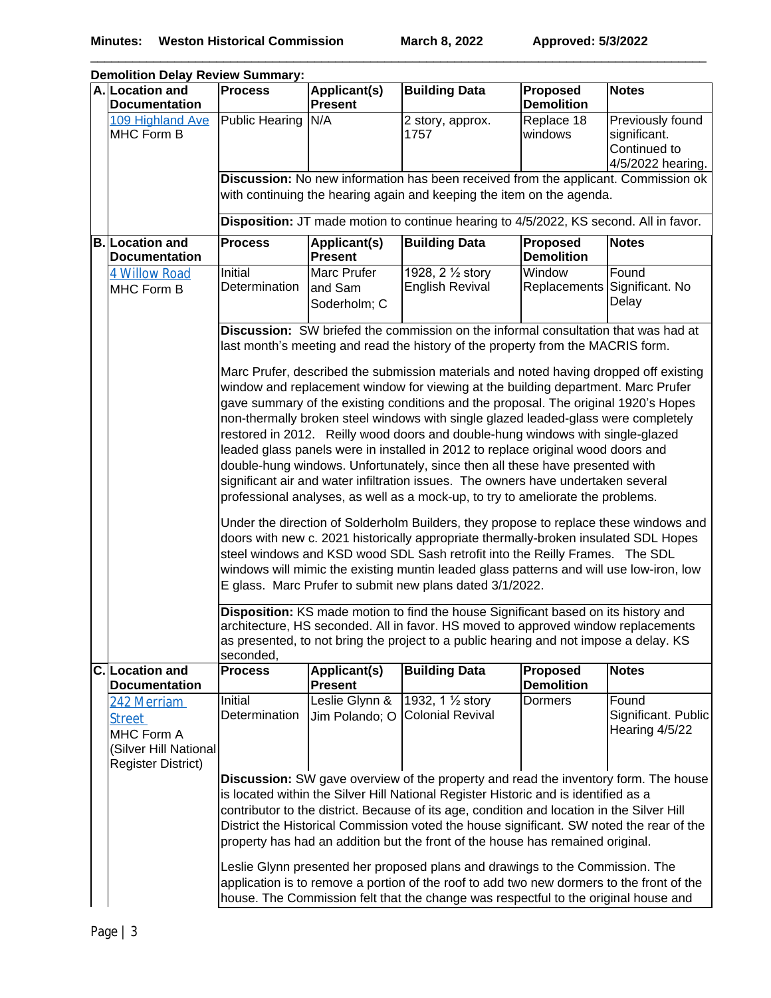\_\_\_\_\_\_\_\_\_\_\_\_\_\_\_\_\_\_\_\_\_\_\_\_\_\_\_\_\_\_\_\_\_\_\_\_\_\_\_\_\_\_\_\_\_\_\_\_\_\_\_\_\_\_\_\_\_\_\_\_\_\_\_\_\_\_\_\_\_\_\_\_\_\_\_\_\_\_\_\_\_\_\_\_\_\_\_\_

| <b>Demolition Delay Review Summary:</b>                                                          |                                                                                                                                                                                                                                                                                                                                                                                                                                                                                                                                                                                                                                                                                                                                                                                                                                                                                                                                                                                                                                                                                                                                                                                                                                                                                                                                                                                                                                                                                   |                                        |                                                                                                                                                                                                                                                                                                                                                                                                                                                               |                                      |                                                                       |  |
|--------------------------------------------------------------------------------------------------|-----------------------------------------------------------------------------------------------------------------------------------------------------------------------------------------------------------------------------------------------------------------------------------------------------------------------------------------------------------------------------------------------------------------------------------------------------------------------------------------------------------------------------------------------------------------------------------------------------------------------------------------------------------------------------------------------------------------------------------------------------------------------------------------------------------------------------------------------------------------------------------------------------------------------------------------------------------------------------------------------------------------------------------------------------------------------------------------------------------------------------------------------------------------------------------------------------------------------------------------------------------------------------------------------------------------------------------------------------------------------------------------------------------------------------------------------------------------------------------|----------------------------------------|---------------------------------------------------------------------------------------------------------------------------------------------------------------------------------------------------------------------------------------------------------------------------------------------------------------------------------------------------------------------------------------------------------------------------------------------------------------|--------------------------------------|-----------------------------------------------------------------------|--|
| A. Location and<br>Documentation                                                                 | <b>Process</b>                                                                                                                                                                                                                                                                                                                                                                                                                                                                                                                                                                                                                                                                                                                                                                                                                                                                                                                                                                                                                                                                                                                                                                                                                                                                                                                                                                                                                                                                    | Applicant(s)<br>Present                | <b>Building Data</b>                                                                                                                                                                                                                                                                                                                                                                                                                                          | <b>Proposed</b><br><b>Demolition</b> | <b>Notes</b>                                                          |  |
| 109 Highland Ave<br>MHC Form B                                                                   | <b>Public Hearing</b>                                                                                                                                                                                                                                                                                                                                                                                                                                                                                                                                                                                                                                                                                                                                                                                                                                                                                                                                                                                                                                                                                                                                                                                                                                                                                                                                                                                                                                                             | N/A                                    | 2 story, approx.<br>1757                                                                                                                                                                                                                                                                                                                                                                                                                                      | Replace 18<br>windows                | Previously found<br>significant.<br>Continued to<br>4/5/2022 hearing. |  |
|                                                                                                  |                                                                                                                                                                                                                                                                                                                                                                                                                                                                                                                                                                                                                                                                                                                                                                                                                                                                                                                                                                                                                                                                                                                                                                                                                                                                                                                                                                                                                                                                                   |                                        | Discussion: No new information has been received from the applicant. Commission ok<br>with continuing the hearing again and keeping the item on the agenda.                                                                                                                                                                                                                                                                                                   |                                      |                                                                       |  |
|                                                                                                  |                                                                                                                                                                                                                                                                                                                                                                                                                                                                                                                                                                                                                                                                                                                                                                                                                                                                                                                                                                                                                                                                                                                                                                                                                                                                                                                                                                                                                                                                                   |                                        | Disposition: JT made motion to continue hearing to 4/5/2022, KS second. All in favor.                                                                                                                                                                                                                                                                                                                                                                         |                                      |                                                                       |  |
| <b>B. Location and</b><br><b>Documentation</b>                                                   | <b>Process</b>                                                                                                                                                                                                                                                                                                                                                                                                                                                                                                                                                                                                                                                                                                                                                                                                                                                                                                                                                                                                                                                                                                                                                                                                                                                                                                                                                                                                                                                                    | Applicant(s)<br><b>Present</b>         | <b>Building Data</b>                                                                                                                                                                                                                                                                                                                                                                                                                                          | Proposed<br><b>Demolition</b>        | <b>Notes</b>                                                          |  |
| <b>4 Willow Road</b><br>MHC Form B                                                               | Initial<br>Determination                                                                                                                                                                                                                                                                                                                                                                                                                                                                                                                                                                                                                                                                                                                                                                                                                                                                                                                                                                                                                                                                                                                                                                                                                                                                                                                                                                                                                                                          | Marc Prufer<br>and Sam<br>Soderholm; C | 1928, 2 1/2 story<br><b>English Revival</b>                                                                                                                                                                                                                                                                                                                                                                                                                   | Window                               | Found<br>Replacements Significant. No<br>Delay                        |  |
|                                                                                                  | Discussion: SW briefed the commission on the informal consultation that was had at<br>last month's meeting and read the history of the property from the MACRIS form.                                                                                                                                                                                                                                                                                                                                                                                                                                                                                                                                                                                                                                                                                                                                                                                                                                                                                                                                                                                                                                                                                                                                                                                                                                                                                                             |                                        |                                                                                                                                                                                                                                                                                                                                                                                                                                                               |                                      |                                                                       |  |
|                                                                                                  | Marc Prufer, described the submission materials and noted having dropped off existing<br>window and replacement window for viewing at the building department. Marc Prufer<br>gave summary of the existing conditions and the proposal. The original 1920's Hopes<br>non-thermally broken steel windows with single glazed leaded-glass were completely<br>restored in 2012. Reilly wood doors and double-hung windows with single-glazed<br>leaded glass panels were in installed in 2012 to replace original wood doors and<br>double-hung windows. Unfortunately, since then all these have presented with<br>significant air and water infiltration issues. The owners have undertaken several<br>professional analyses, as well as a mock-up, to try to ameliorate the problems.<br>Under the direction of Solderholm Builders, they propose to replace these windows and<br>doors with new c. 2021 historically appropriate thermally-broken insulated SDL Hopes<br>steel windows and KSD wood SDL Sash retrofit into the Reilly Frames. The SDL<br>windows will mimic the existing muntin leaded glass patterns and will use low-iron, low<br>E glass. Marc Prufer to submit new plans dated 3/1/2022.<br>Disposition: KS made motion to find the house Significant based on its history and<br>architecture, HS seconded. All in favor. HS moved to approved window replacements<br>as presented, to not bring the project to a public hearing and not impose a delay. KS |                                        |                                                                                                                                                                                                                                                                                                                                                                                                                                                               |                                      |                                                                       |  |
| C. Location and<br><b>Documentation</b>                                                          | seconded,<br><b>Process</b>                                                                                                                                                                                                                                                                                                                                                                                                                                                                                                                                                                                                                                                                                                                                                                                                                                                                                                                                                                                                                                                                                                                                                                                                                                                                                                                                                                                                                                                       | Applicant(s)<br><b>Present</b>         | <b>Building Data</b>                                                                                                                                                                                                                                                                                                                                                                                                                                          | <b>Proposed</b><br><b>Demolition</b> | <b>Notes</b>                                                          |  |
| 242 Merriam<br><b>Street</b><br>MHC Form A<br>(Silver Hill National<br><b>Register District)</b> | Initial<br>Determination                                                                                                                                                                                                                                                                                                                                                                                                                                                                                                                                                                                                                                                                                                                                                                                                                                                                                                                                                                                                                                                                                                                                                                                                                                                                                                                                                                                                                                                          | Leslie Glynn &<br>Jim Polando; O       | 1932, 1 1/2 story<br><b>Colonial Revival</b>                                                                                                                                                                                                                                                                                                                                                                                                                  | <b>Dormers</b>                       | Found<br>Significant. Public<br>Hearing 4/5/22                        |  |
|                                                                                                  |                                                                                                                                                                                                                                                                                                                                                                                                                                                                                                                                                                                                                                                                                                                                                                                                                                                                                                                                                                                                                                                                                                                                                                                                                                                                                                                                                                                                                                                                                   |                                        | <b>Discussion:</b> SW gave overview of the property and read the inventory form. The house<br>is located within the Silver Hill National Register Historic and is identified as a<br>contributor to the district. Because of its age, condition and location in the Silver Hill<br>District the Historical Commission voted the house significant. SW noted the rear of the<br>property has had an addition but the front of the house has remained original. |                                      |                                                                       |  |
|                                                                                                  |                                                                                                                                                                                                                                                                                                                                                                                                                                                                                                                                                                                                                                                                                                                                                                                                                                                                                                                                                                                                                                                                                                                                                                                                                                                                                                                                                                                                                                                                                   |                                        | Leslie Glynn presented her proposed plans and drawings to the Commission. The<br>application is to remove a portion of the roof to add two new dormers to the front of the<br>house. The Commission felt that the change was respectful to the original house and                                                                                                                                                                                             |                                      |                                                                       |  |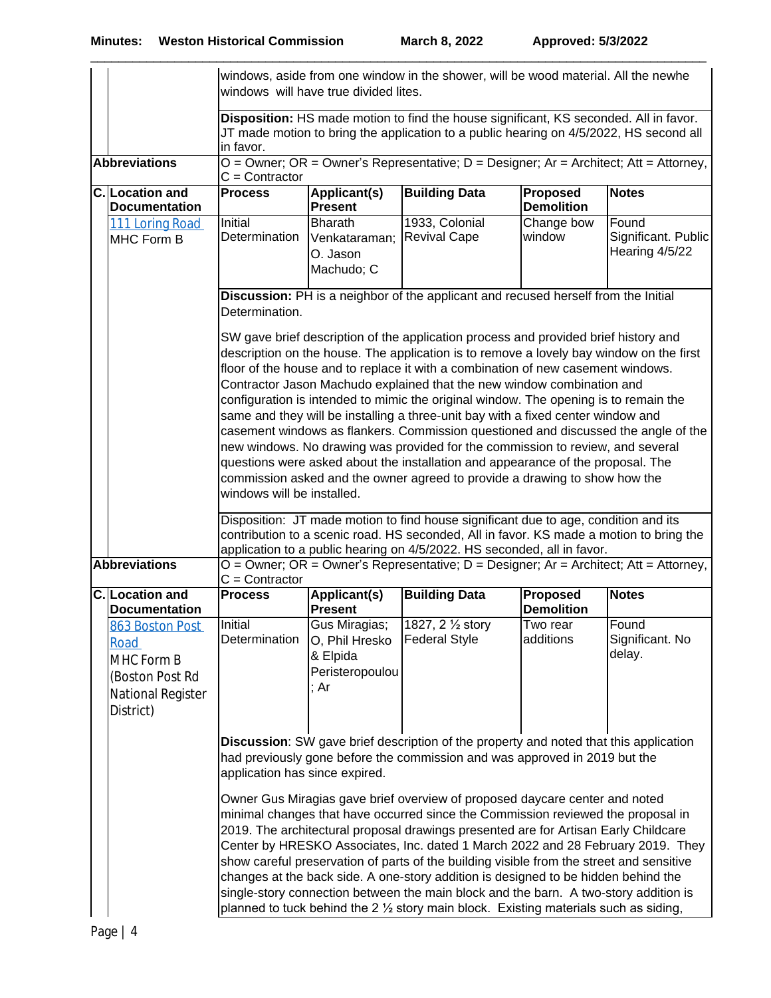|                                                                                                                                                                                                                                                                                                                                                                                                                                                                                                                                                                                                                                                                                                              |                                                                                            |                                                                                                                                                                                                                                                                                                                                                                                                                                                                                                                                                                                                                                                                                                                                                                                                          | windows will have true divided lites.                                  | windows, aside from one window in the shower, will be wood material. All the newhe        |                               |                                                |
|--------------------------------------------------------------------------------------------------------------------------------------------------------------------------------------------------------------------------------------------------------------------------------------------------------------------------------------------------------------------------------------------------------------------------------------------------------------------------------------------------------------------------------------------------------------------------------------------------------------------------------------------------------------------------------------------------------------|--------------------------------------------------------------------------------------------|----------------------------------------------------------------------------------------------------------------------------------------------------------------------------------------------------------------------------------------------------------------------------------------------------------------------------------------------------------------------------------------------------------------------------------------------------------------------------------------------------------------------------------------------------------------------------------------------------------------------------------------------------------------------------------------------------------------------------------------------------------------------------------------------------------|------------------------------------------------------------------------|-------------------------------------------------------------------------------------------|-------------------------------|------------------------------------------------|
|                                                                                                                                                                                                                                                                                                                                                                                                                                                                                                                                                                                                                                                                                                              |                                                                                            | Disposition: HS made motion to find the house significant, KS seconded. All in favor.<br>JT made motion to bring the application to a public hearing on 4/5/2022, HS second all<br>in favor.                                                                                                                                                                                                                                                                                                                                                                                                                                                                                                                                                                                                             |                                                                        |                                                                                           |                               |                                                |
|                                                                                                                                                                                                                                                                                                                                                                                                                                                                                                                                                                                                                                                                                                              | <b>Abbreviations</b>                                                                       | $C =$ Contractor                                                                                                                                                                                                                                                                                                                                                                                                                                                                                                                                                                                                                                                                                                                                                                                         |                                                                        | $O =$ Owner; OR = Owner's Representative; $D =$ Designer; Ar = Architect; Att = Attorney, |                               |                                                |
|                                                                                                                                                                                                                                                                                                                                                                                                                                                                                                                                                                                                                                                                                                              | C. Location and<br><b>Documentation</b>                                                    | <b>Process</b>                                                                                                                                                                                                                                                                                                                                                                                                                                                                                                                                                                                                                                                                                                                                                                                           | Applicant(s)<br><b>Present</b>                                         | <b>Building Data</b>                                                                      | Proposed<br><b>Demolition</b> | <b>Notes</b>                                   |
|                                                                                                                                                                                                                                                                                                                                                                                                                                                                                                                                                                                                                                                                                                              | 111 Loring Road<br>MHC Form B                                                              | Initial<br>Determination                                                                                                                                                                                                                                                                                                                                                                                                                                                                                                                                                                                                                                                                                                                                                                                 | <b>Bharath</b><br>Venkataraman;<br>O. Jason<br>Machudo; C              | 1933, Colonial<br><b>Revival Cape</b>                                                     | Change bow<br>window          | Found<br>Significant. Public<br>Hearing 4/5/22 |
| Discussion: PH is a neighbor of the applicant and recused herself from the Initial<br>Determination.<br>SW gave brief description of the application process and provided brief history and                                                                                                                                                                                                                                                                                                                                                                                                                                                                                                                  |                                                                                            |                                                                                                                                                                                                                                                                                                                                                                                                                                                                                                                                                                                                                                                                                                                                                                                                          |                                                                        |                                                                                           |                               |                                                |
|                                                                                                                                                                                                                                                                                                                                                                                                                                                                                                                                                                                                                                                                                                              |                                                                                            | description on the house. The application is to remove a lovely bay window on the first<br>floor of the house and to replace it with a combination of new casement windows.<br>Contractor Jason Machudo explained that the new window combination and<br>configuration is intended to mimic the original window. The opening is to remain the<br>same and they will be installing a three-unit bay with a fixed center window and<br>casement windows as flankers. Commission questioned and discussed the angle of the<br>new windows. No drawing was provided for the commission to review, and several<br>questions were asked about the installation and appearance of the proposal. The<br>commission asked and the owner agreed to provide a drawing to show how the<br>windows will be installed. |                                                                        |                                                                                           |                               |                                                |
|                                                                                                                                                                                                                                                                                                                                                                                                                                                                                                                                                                                                                                                                                                              | <b>Abbreviations</b>                                                                       | Disposition: JT made motion to find house significant due to age, condition and its<br>contribution to a scenic road. HS seconded, All in favor. KS made a motion to bring the<br>application to a public hearing on 4/5/2022. HS seconded, all in favor.<br>$O =$ Owner; OR = Owner's Representative; $D =$ Designer; Ar = Architect; Att = Attorney,                                                                                                                                                                                                                                                                                                                                                                                                                                                   |                                                                        |                                                                                           |                               |                                                |
|                                                                                                                                                                                                                                                                                                                                                                                                                                                                                                                                                                                                                                                                                                              | C. Location and<br><b>Documentation</b>                                                    | $C =$ Contractor<br><b>Process</b>                                                                                                                                                                                                                                                                                                                                                                                                                                                                                                                                                                                                                                                                                                                                                                       | Applicant(s)<br><b>Present</b>                                         | <b>Building Data</b>                                                                      | Proposed<br><b>Demolition</b> | <b>Notes</b>                                   |
|                                                                                                                                                                                                                                                                                                                                                                                                                                                                                                                                                                                                                                                                                                              | 863 Boston Post<br>Road<br>MHC Form B<br>(Boston Post Rd<br>National Register<br>District) | Initial<br>Determination                                                                                                                                                                                                                                                                                                                                                                                                                                                                                                                                                                                                                                                                                                                                                                                 | Gus Miragias;<br>O, Phil Hresko<br>& Elpida<br>Peristeropoulou<br>; Ar | 1827, 2 1/2 story<br><b>Federal Style</b>                                                 | Two rear<br>additions         | Found<br>Significant. No<br>delay.             |
|                                                                                                                                                                                                                                                                                                                                                                                                                                                                                                                                                                                                                                                                                                              |                                                                                            | <b>Discussion:</b> SW gave brief description of the property and noted that this application<br>had previously gone before the commission and was approved in 2019 but the<br>application has since expired.                                                                                                                                                                                                                                                                                                                                                                                                                                                                                                                                                                                             |                                                                        |                                                                                           |                               |                                                |
| Owner Gus Miragias gave brief overview of proposed daycare center and noted<br>minimal changes that have occurred since the Commission reviewed the proposal in<br>2019. The architectural proposal drawings presented are for Artisan Early Childcare<br>Center by HRESKO Associates, Inc. dated 1 March 2022 and 28 February 2019. They<br>show careful preservation of parts of the building visible from the street and sensitive<br>changes at the back side. A one-story addition is designed to be hidden behind the<br>single-story connection between the main block and the barn. A two-story addition is<br>planned to tuck behind the 2 1/2 story main block. Existing materials such as siding, |                                                                                            |                                                                                                                                                                                                                                                                                                                                                                                                                                                                                                                                                                                                                                                                                                                                                                                                          |                                                                        |                                                                                           |                               |                                                |